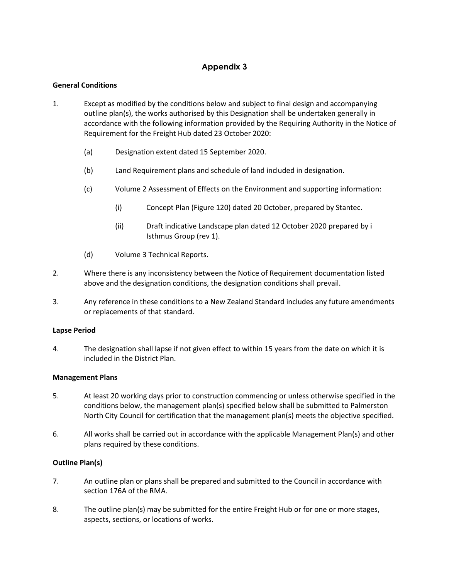# **Appendix 3**

# **General Conditions**

- 1. Except as modified by the conditions below and subject to final design and accompanying outline plan(s), the works authorised by this Designation shall be undertaken generally in accordance with the following information provided by the Requiring Authority in the Notice of Requirement for the Freight Hub dated 23 October 2020:
	- (a) Designation extent dated 15 September 2020.
	- (b) Land Requirement plans and schedule of land included in designation.
	- (c) Volume 2 Assessment of Effects on the Environment and supporting information:
		- (i) Concept Plan (Figure 120) dated 20 October, prepared by Stantec.
		- (ii) Draft indicative Landscape plan dated 12 October 2020 prepared by i Isthmus Group (rev 1).
	- (d) Volume 3 Technical Reports.
- 2. Where there is any inconsistency between the Notice of Requirement documentation listed above and the designation conditions, the designation conditions shall prevail.
- 3. Any reference in these conditions to a New Zealand Standard includes any future amendments or replacements of that standard.

### **Lapse Period**

4. The designation shall lapse if not given effect to within 15 years from the date on which it is included in the District Plan.

### **Management Plans**

- 5. At least 20 working days prior to construction commencing or unless otherwise specified in the conditions below, the management plan(s) specified below shall be submitted to Palmerston North City Council for certification that the management plan(s) meets the objective specified.
- 6. All works shall be carried out in accordance with the applicable Management Plan(s) and other plans required by these conditions.

### **Outline Plan(s)**

- 7. An outline plan or plans shall be prepared and submitted to the Council in accordance with section 176A of the RMA.
- 8. The outline plan(s) may be submitted for the entire Freight Hub or for one or more stages, aspects, sections, or locations of works.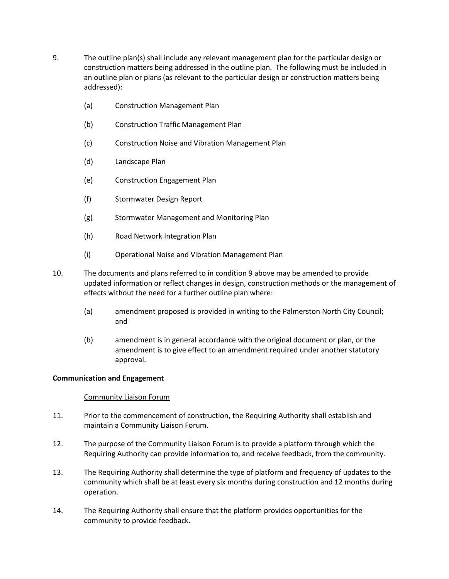- <span id="page-1-0"></span>9. The outline plan(s) shall include any relevant management plan for the particular design or construction matters being addressed in the outline plan. The following must be included in an outline plan or plans (as relevant to the particular design or construction matters being addressed):
	- (a) Construction Management Plan
	- (b) Construction Traffic Management Plan
	- (c) Construction Noise and Vibration Management Plan
	- (d) Landscape Plan
	- (e) Construction Engagement Plan
	- (f) Stormwater Design Report
	- (g) Stormwater Management and Monitoring Plan
	- (h) Road Network Integration Plan
	- (i) Operational Noise and Vibration Management Plan
- 10. The documents and plans referred to in conditio[n 9](#page-1-0) above may be amended to provide updated information or reflect changes in design, construction methods or the management of effects without the need for a further outline plan where:
	- (a) amendment proposed is provided in writing to the Palmerston North City Council; and
	- (b) amendment is in general accordance with the original document or plan, or the amendment is to give effect to an amendment required under another statutory approval.

### **Communication and Engagement**

### Community Liaison Forum

- 11. Prior to the commencement of construction, the Requiring Authority shall establish and maintain a Community Liaison Forum.
- 12. The purpose of the Community Liaison Forum is to provide a platform through which the Requiring Authority can provide information to, and receive feedback, from the community.
- 13. The Requiring Authority shall determine the type of platform and frequency of updates to the community which shall be at least every six months during construction and 12 months during operation.
- 14. The Requiring Authority shall ensure that the platform provides opportunities for the community to provide feedback.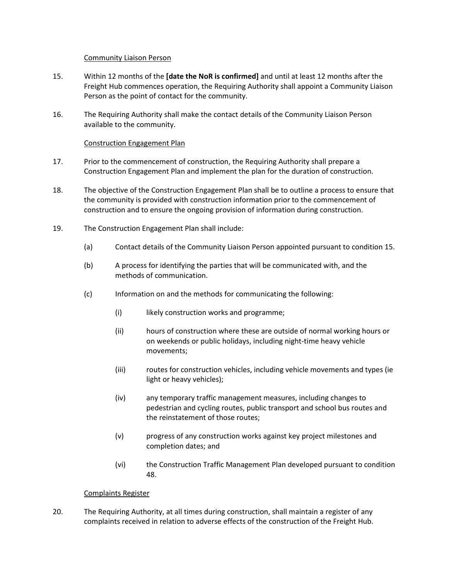### Community Liaison Person

- <span id="page-2-0"></span>15. Within 12 months of the **[date the NoR is confirmed]** and until at least 12 months after the Freight Hub commences operation, the Requiring Authority shall appoint a Community Liaison Person as the point of contact for the community.
- 16. The Requiring Authority shall make the contact details of the Community Liaison Person available to the community.

### Construction Engagement Plan

- 17. Prior to the commencement of construction, the Requiring Authority shall prepare a Construction Engagement Plan and implement the plan for the duration of construction.
- 18. The objective of the Construction Engagement Plan shall be to outline a process to ensure that the community is provided with construction information prior to the commencement of construction and to ensure the ongoing provision of information during construction.
- 19. The Construction Engagement Plan shall include:
	- (a) Contact details of the Community Liaison Person appointed pursuant to conditio[n 15.](#page-2-0)
	- (b) A process for identifying the parties that will be communicated with, and the methods of communication.
	- (c) Information on and the methods for communicating the following:
		- (i) likely construction works and programme;
		- (ii) hours of construction where these are outside of normal working hours or on weekends or public holidays, including night-time heavy vehicle movements;
		- (iii) routes for construction vehicles, including vehicle movements and types (ie light or heavy vehicles);
		- (iv) any temporary traffic management measures, including changes to pedestrian and cycling routes, public transport and school bus routes and the reinstatement of those routes;
		- (v) progress of any construction works against key project milestones and completion dates; and
		- (vi) the Construction Traffic Management Plan developed pursuant to condition [48.](#page-7-0)

### Complaints Register

20. The Requiring Authority, at all times during construction, shall maintain a register of any complaints received in relation to adverse effects of the construction of the Freight Hub.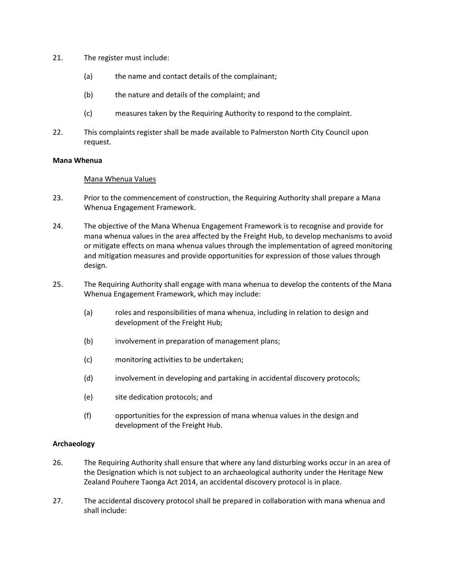- 21. The register must include:
	- (a) the name and contact details of the complainant;
	- (b) the nature and details of the complaint; and
	- (c) measures taken by the Requiring Authority to respond to the complaint.
- 22. This complaints register shall be made available to Palmerston North City Council upon request.

#### **Mana Whenua**

#### Mana Whenua Values

- 23. Prior to the commencement of construction, the Requiring Authority shall prepare a Mana Whenua Engagement Framework.
- 24. The objective of the Mana Whenua Engagement Framework is to recognise and provide for mana whenua values in the area affected by the Freight Hub, to develop mechanisms to avoid or mitigate effects on mana whenua values through the implementation of agreed monitoring and mitigation measures and provide opportunities for expression of those values through design.
- 25. The Requiring Authority shall engage with mana whenua to develop the contents of the Mana Whenua Engagement Framework, which may include:
	- (a) roles and responsibilities of mana whenua, including in relation to design and development of the Freight Hub;
	- (b) involvement in preparation of management plans;
	- (c) monitoring activities to be undertaken;
	- (d) involvement in developing and partaking in accidental discovery protocols;
	- (e) site dedication protocols; and
	- (f) opportunities for the expression of mana whenua values in the design and development of the Freight Hub.

### **Archaeology**

- 26. The Requiring Authority shall ensure that where any land disturbing works occur in an area of the Designation which is not subject to an archaeological authority under the Heritage New Zealand Pouhere Taonga Act 2014, an accidental discovery protocol is in place.
- 27. The accidental discovery protocol shall be prepared in collaboration with mana whenua and shall include: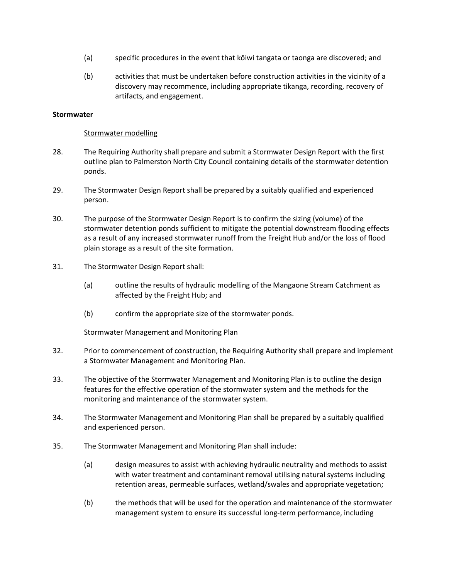- (a) specific procedures in the event that kōiwi tangata or taonga are discovered; and
- (b) activities that must be undertaken before construction activities in the vicinity of a discovery may recommence, including appropriate tikanga, recording, recovery of artifacts, and engagement.

### **Stormwater**

### Stormwater modelling

- 28. The Requiring Authority shall prepare and submit a Stormwater Design Report with the first outline plan to Palmerston North City Council containing details of the stormwater detention ponds.
- 29. The Stormwater Design Report shall be prepared by a suitably qualified and experienced person.
- 30. The purpose of the Stormwater Design Report is to confirm the sizing (volume) of the stormwater detention ponds sufficient to mitigate the potential downstream flooding effects as a result of any increased stormwater runoff from the Freight Hub and/or the loss of flood plain storage as a result of the site formation.
- 31. The Stormwater Design Report shall:
	- (a) outline the results of hydraulic modelling of the Mangaone Stream Catchment as affected by the Freight Hub; and
	- (b) confirm the appropriate size of the stormwater ponds.

#### Stormwater Management and Monitoring Plan

- 32. Prior to commencement of construction, the Requiring Authority shall prepare and implement a Stormwater Management and Monitoring Plan.
- 33. The objective of the Stormwater Management and Monitoring Plan is to outline the design features for the effective operation of the stormwater system and the methods for the monitoring and maintenance of the stormwater system.
- 34. The Stormwater Management and Monitoring Plan shall be prepared by a suitably qualified and experienced person.
- 35. The Stormwater Management and Monitoring Plan shall include:
	- (a) design measures to assist with achieving hydraulic neutrality and methods to assist with water treatment and contaminant removal utilising natural systems including retention areas, permeable surfaces, wetland/swales and appropriate vegetation;
	- (b) the methods that will be used for the operation and maintenance of the stormwater management system to ensure its successful long-term performance, including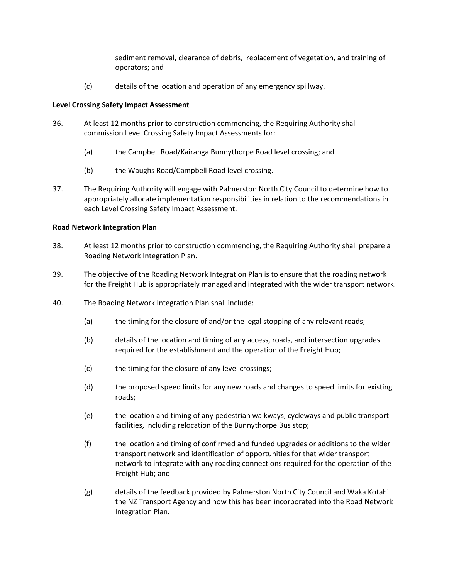sediment removal, clearance of debris, replacement of vegetation, and training of operators; and

(c) details of the location and operation of any emergency spillway.

### **Level Crossing Safety Impact Assessment**

- 36. At least 12 months prior to construction commencing, the Requiring Authority shall commission Level Crossing Safety Impact Assessments for:
	- (a) the Campbell Road/Kairanga Bunnythorpe Road level crossing; and
	- (b) the Waughs Road/Campbell Road level crossing.
- 37. The Requiring Authority will engage with Palmerston North City Council to determine how to appropriately allocate implementation responsibilities in relation to the recommendations in each Level Crossing Safety Impact Assessment.

# **Road Network Integration Plan**

- 38. At least 12 months prior to construction commencing, the Requiring Authority shall prepare a Roading Network Integration Plan.
- 39. The objective of the Roading Network Integration Plan is to ensure that the roading network for the Freight Hub is appropriately managed and integrated with the wider transport network.
- 40. The Roading Network Integration Plan shall include:
	- (a) the timing for the closure of and/or the legal stopping of any relevant roads;
	- (b) details of the location and timing of any access, roads, and intersection upgrades required for the establishment and the operation of the Freight Hub;
	- (c) the timing for the closure of any level crossings;
	- (d) the proposed speed limits for any new roads and changes to speed limits for existing roads;
	- (e) the location and timing of any pedestrian walkways, cycleways and public transport facilities, including relocation of the Bunnythorpe Bus stop;
	- (f) the location and timing of confirmed and funded upgrades or additions to the wider transport network and identification of opportunities for that wider transport network to integrate with any roading connections required for the operation of the Freight Hub; and
	- (g) details of the feedback provided by Palmerston North City Council and Waka Kotahi the NZ Transport Agency and how this has been incorporated into the Road Network Integration Plan.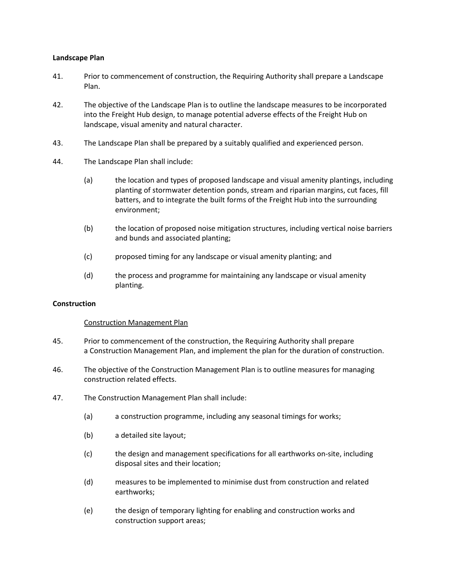### **Landscape Plan**

- 41. Prior to commencement of construction, the Requiring Authority shall prepare a Landscape Plan.
- 42. The objective of the Landscape Plan is to outline the landscape measures to be incorporated into the Freight Hub design, to manage potential adverse effects of the Freight Hub on landscape, visual amenity and natural character.
- 43. The Landscape Plan shall be prepared by a suitably qualified and experienced person.
- 44. The Landscape Plan shall include:
	- (a) the location and types of proposed landscape and visual amenity plantings, including planting of stormwater detention ponds, stream and riparian margins, cut faces, fill batters, and to integrate the built forms of the Freight Hub into the surrounding environment;
	- (b) the location of proposed noise mitigation structures, including vertical noise barriers and bunds and associated planting;
	- (c) proposed timing for any landscape or visual amenity planting; and
	- (d) the process and programme for maintaining any landscape or visual amenity planting.

#### **Construction**

#### Construction Management Plan

- 45. Prior to commencement of the construction, the Requiring Authority shall prepare a Construction Management Plan, and implement the plan for the duration of construction.
- 46. The objective of the Construction Management Plan is to outline measures for managing construction related effects.
- 47. The Construction Management Plan shall include:
	- (a) a construction programme, including any seasonal timings for works;
	- (b) a detailed site layout;
	- (c) the design and management specifications for all earthworks on-site, including disposal sites and their location;
	- (d) measures to be implemented to minimise dust from construction and related earthworks;
	- (e) the design of temporary lighting for enabling and construction works and construction support areas;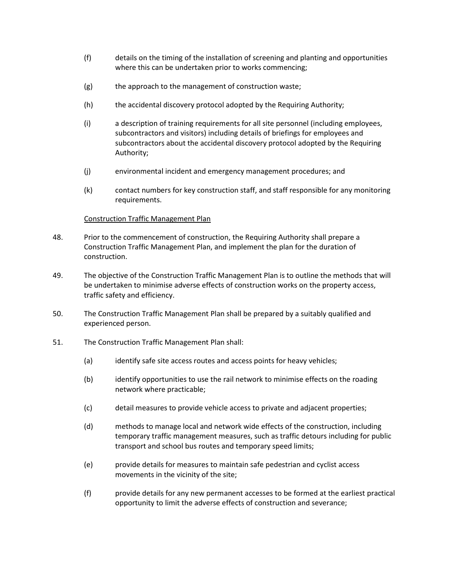- (f) details on the timing of the installation of screening and planting and opportunities where this can be undertaken prior to works commencing;
- (g) the approach to the management of construction waste;
- (h) the accidental discovery protocol adopted by the Requiring Authority;
- (i) a description of training requirements for all site personnel (including employees, subcontractors and visitors) including details of briefings for employees and subcontractors about the accidental discovery protocol adopted by the Requiring Authority;
- (j) environmental incident and emergency management procedures; and
- (k) contact numbers for key construction staff, and staff responsible for any monitoring requirements.

### Construction Traffic Management Plan

- <span id="page-7-0"></span>48. Prior to the commencement of construction, the Requiring Authority shall prepare a Construction Traffic Management Plan, and implement the plan for the duration of construction.
- 49. The objective of the Construction Traffic Management Plan is to outline the methods that will be undertaken to minimise adverse effects of construction works on the property access, traffic safety and efficiency.
- 50. The Construction Traffic Management Plan shall be prepared by a suitably qualified and experienced person.
- 51. The Construction Traffic Management Plan shall:
	- (a) identify safe site access routes and access points for heavy vehicles;
	- (b) identify opportunities to use the rail network to minimise effects on the roading network where practicable;
	- (c) detail measures to provide vehicle access to private and adjacent properties;
	- (d) methods to manage local and network wide effects of the construction, including temporary traffic management measures, such as traffic detours including for public transport and school bus routes and temporary speed limits;
	- (e) provide details for measures to maintain safe pedestrian and cyclist access movements in the vicinity of the site;
	- (f) provide details for any new permanent accesses to be formed at the earliest practical opportunity to limit the adverse effects of construction and severance;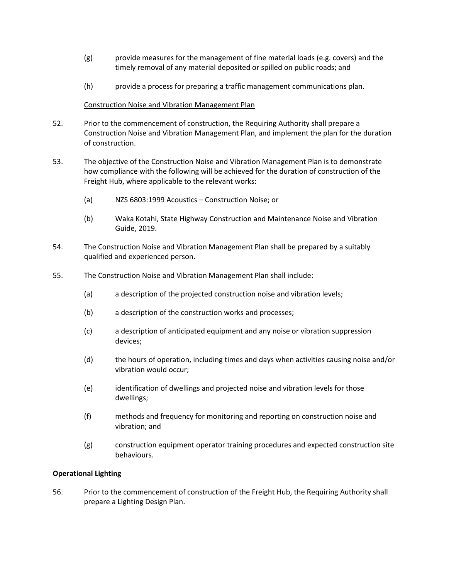- (g) provide measures for the management of fine material loads (e.g. covers) and the timely removal of any material deposited or spilled on public roads; and
- (h) provide a process for preparing a traffic management communications plan.

### Construction Noise and Vibration Management Plan

- 52. Prior to the commencement of construction, the Requiring Authority shall prepare a Construction Noise and Vibration Management Plan, and implement the plan for the duration of construction.
- 53. The objective of the Construction Noise and Vibration Management Plan is to demonstrate how compliance with the following will be achieved for the duration of construction of the Freight Hub, where applicable to the relevant works:
	- (a) NZS 6803:1999 Acoustics Construction Noise; or
	- (b) Waka Kotahi, State Highway Construction and Maintenance Noise and Vibration Guide, 2019.
- 54. The Construction Noise and Vibration Management Plan shall be prepared by a suitably qualified and experienced person.
- 55. The Construction Noise and Vibration Management Plan shall include:
	- (a) a description of the projected construction noise and vibration levels;
	- (b) a description of the construction works and processes;
	- (c) a description of anticipated equipment and any noise or vibration suppression devices;
	- (d) the hours of operation, including times and days when activities causing noise and/or vibration would occur;
	- (e) identification of dwellings and projected noise and vibration levels for those dwellings;
	- (f) methods and frequency for monitoring and reporting on construction noise and vibration; and
	- (g) construction equipment operator training procedures and expected construction site behaviours.

### **Operational Lighting**

56. Prior to the commencement of construction of the Freight Hub, the Requiring Authority shall prepare a Lighting Design Plan.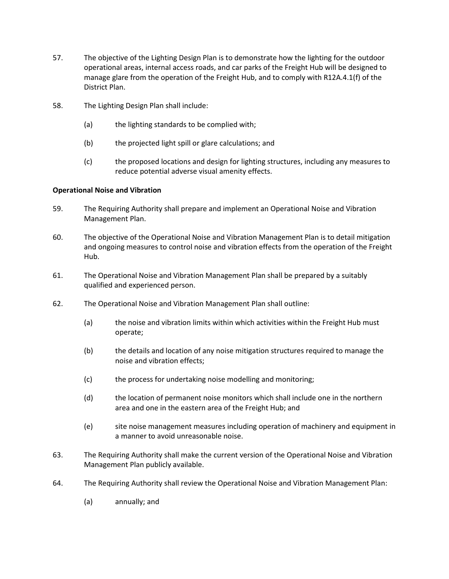- 57. The objective of the Lighting Design Plan is to demonstrate how the lighting for the outdoor operational areas, internal access roads, and car parks of the Freight Hub will be designed to manage glare from the operation of the Freight Hub, and to comply with R12A.4.1(f) of the District Plan.
- 58. The Lighting Design Plan shall include:
	- (a) the lighting standards to be complied with;
	- (b) the projected light spill or glare calculations; and
	- (c) the proposed locations and design for lighting structures, including any measures to reduce potential adverse visual amenity effects.

### **Operational Noise and Vibration**

- 59. The Requiring Authority shall prepare and implement an Operational Noise and Vibration Management Plan.
- 60. The objective of the Operational Noise and Vibration Management Plan is to detail mitigation and ongoing measures to control noise and vibration effects from the operation of the Freight Hub.
- 61. The Operational Noise and Vibration Management Plan shall be prepared by a suitably qualified and experienced person.
- 62. The Operational Noise and Vibration Management Plan shall outline:
	- (a) the noise and vibration limits within which activities within the Freight Hub must operate;
	- (b) the details and location of any noise mitigation structures required to manage the noise and vibration effects;
	- (c) the process for undertaking noise modelling and monitoring;
	- (d) the location of permanent noise monitors which shall include one in the northern area and one in the eastern area of the Freight Hub; and
	- (e) site noise management measures including operation of machinery and equipment in a manner to avoid unreasonable noise.
- 63. The Requiring Authority shall make the current version of the Operational Noise and Vibration Management Plan publicly available.
- 64. The Requiring Authority shall review the Operational Noise and Vibration Management Plan:
	- (a) annually; and